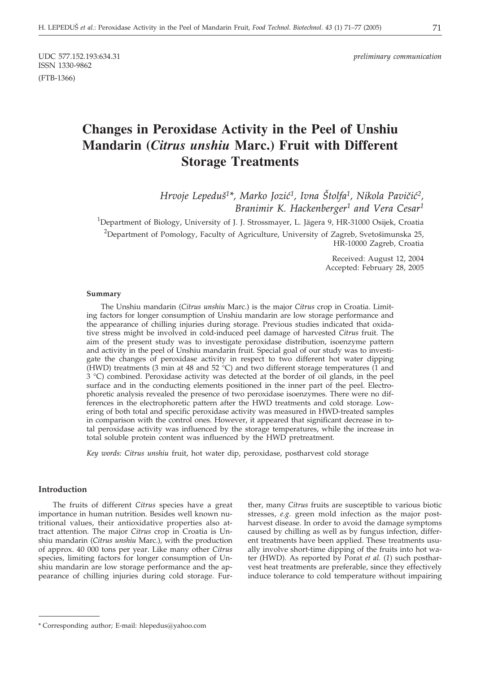ISSN 1330-9862 (FTB-1366)

UDC 577.152.193:634.31 *preliminary communication*

# **Changes in Peroxidase Activity in the Peel of Unshiu Mandarin (***Citrus unshiu* **Marc.) Fruit with Different Storage Treatments**

*Hrvoje Lepeduš<sup>1\*</sup>, Marko Jozić<sup>1</sup>, Ivna Štolfa<sup>1</sup>, Nikola Pavičić<sup>2</sup>, Branimir K. Hackenberger1 and Vera Cesar1*

<sup>1</sup>Department of Biology, University of J. J. Strossmayer, L. Jägera 9, HR-31000 Osijek, Croatia

 $^{2}$ Department of Pomology, Faculty of Agriculture, University of Zagreb, Svetošimunska 25, HR-10000 Zagreb, Croatia

> Received: August 12, 2004 Accepted: February 28, 2005

#### **Summary**

The Unshiu mandarin (*Citrus unshiu* Marc.) is the major *Citrus* crop in Croatia. Limiting factors for longer consumption of Unshiu mandarin are low storage performance and the appearance of chilling injuries during storage. Previous studies indicated that oxidative stress might be involved in cold-induced peel damage of harvested *Citrus* fruit. The aim of the present study was to investigate peroxidase distribution, isoenzyme pattern and activity in the peel of Unshiu mandarin fruit. Special goal of our study was to investigate the changes of peroxidase activity in respect to two different hot water dipping (HWD) treatments (3 min at 48 and 52  $\degree$ C) and two different storage temperatures (1 and 3 °C) combined. Peroxidase activity was detected at the border of oil glands, in the peel surface and in the conducting elements positioned in the inner part of the peel. Electrophoretic analysis revealed the presence of two peroxidase isoenzymes. There were no differences in the electrophoretic pattern after the HWD treatments and cold storage. Lowering of both total and specific peroxidase activity was measured in HWD-treated samples in comparison with the control ones. However, it appeared that significant decrease in total peroxidase activity was influenced by the storage temperatures, while the increase in total soluble protein content was influenced by the HWD pretreatment.

*Key words: Citrus unshiu* fruit, hot water dip, peroxidase, postharvest cold storage

### **Introduction**

The fruits of different *Citrus* species have a great importance in human nutrition. Besides well known nutritional values, their antioxidative properties also attract attention. The major *Citrus* crop in Croatia is Unshiu mandarin (*Citrus unshiu* Marc.), with the production of approx. 40 000 tons per year. Like many other *Citrus* species, limiting factors for longer consumption of Unshiu mandarin are low storage performance and the appearance of chilling injuries during cold storage. Fur-

ther, many *Citrus* fruits are susceptible to various biotic stresses, *e.g.* green mold infection as the major postharvest disease. In order to avoid the damage symptoms caused by chilling as well as by fungus infection, different treatments have been applied. These treatments usually involve short-time dipping of the fruits into hot water (HWD). As reported by Porat *et al.* (*1*) such postharvest heat treatments are preferable, since they effectively induce tolerance to cold temperature without impairing

<sup>\*</sup> Corresponding author; E-mail: hlepedus@yahoo.com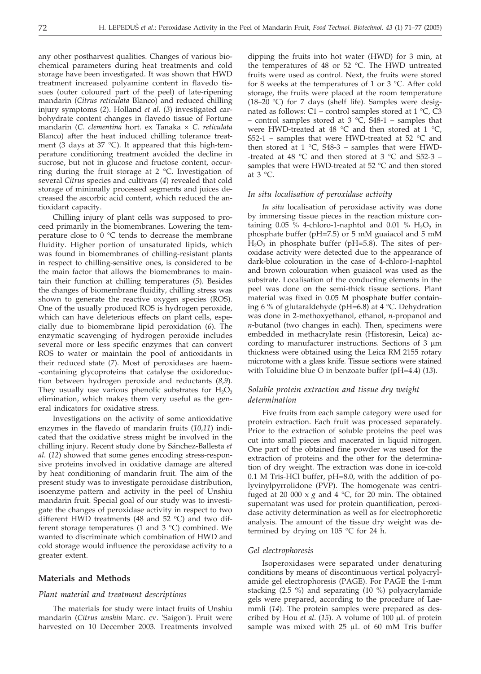any other postharvest qualities. Changes of various biochemical parameters during heat treatments and cold storage have been investigated. It was shown that HWD treatment increased polyamine content in flavedo tissues (outer coloured part of the peel) of late-ripening mandarin (*Citrus reticulata* Blanco) and reduced chilling injury symptoms (*2*). Holland *et al.* (*3*) investigated carbohydrate content changes in flavedo tissue of Fortune mandarin (*C*. *clementina* hort. ex Tanaka × *C*. *reticulata* Blanco) after the heat induced chilling tolerance treatment (3 days at 37  $^{\circ}$ C). It appeared that this high-temperature conditioning treatment avoided the decline in sucrose, but not in glucose and fructose content, occurring during the fruit storage at 2 °C. Investigation of several *Citrus* species and cultivars (*4*) revealed that cold storage of minimally processed segments and juices decreased the ascorbic acid content, which reduced the antioxidant capacity.

Chilling injury of plant cells was supposed to proceed primarily in the biomembranes. Lowering the temperature close to 0 °C tends to decrease the membrane fluidity. Higher portion of unsaturated lipids, which was found in biomembranes of chilling-resistant plants in respect to chilling-sensitive ones, is considered to be the main factor that allows the biomembranes to maintain their function at chilling temperatures (*5*). Besides the changes of biomembrane fluidity, chilling stress was shown to generate the reactive oxygen species (ROS). One of the usually produced ROS is hydrogen peroxide, which can have deleterious effects on plant cells, especially due to biomembrane lipid peroxidation (*6*). The enzymatic scavenging of hydrogen peroxide includes several more or less specific enzymes that can convert ROS to water or maintain the pool of antioxidants in their reduced state (*7*). Most of peroxidases are haem- -containing glycoproteins that catalyse the oxidoreduction between hydrogen peroxide and reductants (*8,9*). They usually use various phenolic substrates for  $H_2O_2$ elimination, which makes them very useful as the general indicators for oxidative stress.

Investigations on the activity of some antioxidative enzymes in the flavedo of mandarin fruits (*10,11*) indicated that the oxidative stress might be involved in the chilling injury. Recent study done by Sánchez-Ballesta *et al*. (*12*) showed that some genes encoding stress-responsive proteins involved in oxidative damage are altered by heat conditioning of mandarin fruit. The aim of the present study was to investigate peroxidase distribution, isoenzyme pattern and activity in the peel of Unshiu mandarin fruit. Special goal of our study was to investigate the changes of peroxidase activity in respect to two different HWD treatments (48 and 52  $^{\circ}$ C) and two different storage temperatures (1 and 3 °C) combined. We wanted to discriminate which combination of HWD and cold storage would influence the peroxidase activity to a greater extent.

## **Materials and Methods**

#### *Plant material and treatment descriptions*

The materials for study were intact fruits of Unshiu mandarin (*Citrus unshiu* Marc. cv. 'Saigon'). Fruit were harvested on 10 December 2003. Treatments involved

dipping the fruits into hot water (HWD) for 3 min, at the temperatures of 48 or 52 °C. The HWD untreated fruits were used as control. Next, the fruits were stored for 8 weeks at the temperatures of 1 or 3 °C. After cold storage, the fruits were placed at the room temperature (18–20 °C) for 7 days (shelf life). Samples were designated as follows: C1 – control samples stored at 1 °C, C3 – control samples stored at 3  $°C$ , S48-1 – samples that were HWD-treated at 48 °C and then stored at 1 °C, S52-1 – samples that were HWD-treated at 52 °C and then stored at 1  $°C$ , S48-3 – samples that were HWD--treated at 48 °C and then stored at 3 °C and S52-3 – samples that were HWD-treated at 52 °C and then stored at  $3 \text{ }^{\circ}C$ .

#### *In situ localisation of peroxidase activity*

*In situ* localisation of peroxidase activity was done by immersing tissue pieces in the reaction mixture containing 0.05 % 4-chloro-1-naphtol and 0.01 %  $H_2O_2$  in phosphate buffer (pH=7.5) or 5 mM guaiacol and 5 mM  $H<sub>2</sub>O<sub>2</sub>$  in phosphate buffer (pH=5.8). The sites of peroxidase activity were detected due to the appearance of dark-blue colouration in the case of 4-chloro-1-naphtol and brown colouration when guaiacol was used as the substrate. Localisation of the conducting elements in the peel was done on the semi-thick tissue sections. Plant material was fixed in 0.05 M phosphate buffer containing 6 % of glutaraldehyde (pH=6.8) at 4 °C. Dehydration was done in 2-methoxyethanol, ethanol, *n*-propanol and *n*-butanol (two changes in each). Then, specimens were embedded in methacrylate resin (Historesin, Leica) according to manufacturer instructions. Sections of  $3 \mu m$ thickness were obtained using the Leica RM 2155 rotary microtome with a glass knife. Tissue sections were stained with Toluidine blue O in benzoate buffer (pH=4.4) (*13*).

## *Soluble protein extraction and tissue dry weight determination*

Five fruits from each sample category were used for protein extraction. Each fruit was processed separately. Prior to the extraction of soluble proteins the peel was cut into small pieces and macerated in liquid nitrogen. One part of the obtained fine powder was used for the extraction of proteins and the other for the determination of dry weight. The extraction was done in ice-cold 0.1 M Tris-HCl buffer, pH=8.0, with the addition of polyvinylpyrrolidone (PVP). The homogenate was centrifuged at 20 000 x  $g$  and 4  $\degree$ C, for 20 min. The obtained supernatant was used for protein quantification, peroxidase activity determination as well as for electrophoretic analysis. The amount of the tissue dry weight was determined by drying on 105 °C for 24 h.

#### *Gel electrophoresis*

Isoperoxidases were separated under denaturing conditions by means of discontinuous vertical polyacrylamide gel electrophoresis (PAGE). For PAGE the 1-mm stacking (2.5 %) and separating (10 %) polyacrylamide gels were prepared, according to the procedure of Laemmli (*14*). The protein samples were prepared as described by Hou *et al.* (15). A volume of 100 µL of protein sample was mixed with  $25 \mu L$  of 60 mM Tris buffer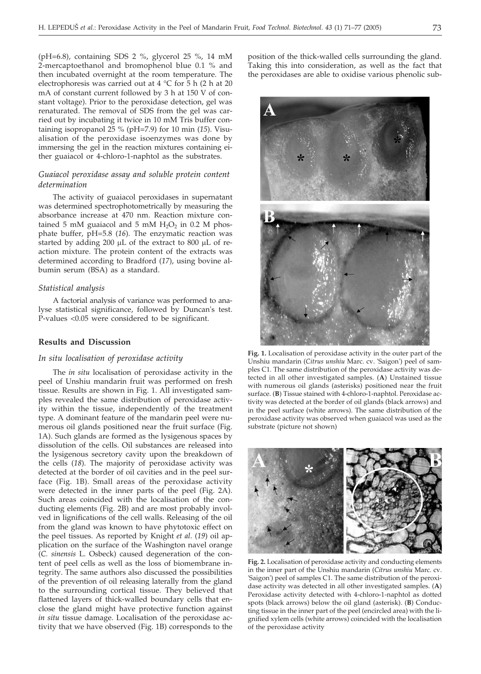(pH=6.8), containing SDS 2 %, glycerol 25 %, 14 mM 2-mercaptoethanol and bromophenol blue 0.1 % and then incubated overnight at the room temperature. The electrophoresis was carried out at 4 °C for 5 h (2 h at 20 mA of constant current followed by 3 h at 150 V of constant voltage). Prior to the peroxidase detection, gel was renaturated. The removal of SDS from the gel was carried out by incubating it twice in 10 mM Tris buffer containing isopropanol 25 % (pH=7.9) for 10 min (*15*). Visualisation of the peroxidase isoenzymes was done by immersing the gel in the reaction mixtures containing either guaiacol or 4-chloro-1-naphtol as the substrates.

## *Guaiacol peroxidase assay and soluble protein content determination*

The activity of guaiacol peroxidases in supernatant was determined spectrophotometrically by measuring the absorbance increase at 470 nm. Reaction mixture contained 5 mM guaiacol and 5 mM  $H_2O_2$  in 0.2 M phosphate buffer, pH=5.8 (*16*). The enzymatic reaction was started by adding 200  $\mu$ L of the extract to 800  $\mu$ L of reaction mixture. The protein content of the extracts was determined according to Bradford (*17*), using bovine albumin serum (BSA) as a standard.

#### *Statistical analysis*

A factorial analysis of variance was performed to analyse statistical significance, followed by Duncan's test. P-values <0.05 were considered to be significant.

## **Results and Discussion**

## *In situ localisation of peroxidase activity*

The *in situ* localisation of peroxidase activity in the peel of Unshiu mandarin fruit was performed on fresh tissue. Results are shown in Fig. 1. All investigated samples revealed the same distribution of peroxidase activity within the tissue, independently of the treatment type. A dominant feature of the mandarin peel were numerous oil glands positioned near the fruit surface (Fig. 1A). Such glands are formed as the lysigenous spaces by dissolution of the cells. Oil substances are released into the lysigenous secretory cavity upon the breakdown of the cells (*18*). The majority of peroxidase activity was detected at the border of oil cavities and in the peel surface (Fig. 1B). Small areas of the peroxidase activity were detected in the inner parts of the peel (Fig. 2A). Such areas coincided with the localisation of the conducting elements (Fig. 2B) and are most probably involved in lignifications of the cell walls. Releasing of the oil from the gland was known to have phytotoxic effect on the peel tissues. As reported by Knight *et al*. (*19*) oil application on the surface of the Washington navel orange (*C. sinensis* L. Osbeck) caused degeneration of the content of peel cells as well as the loss of biomembrane integrity. The same authors also discussed the possibilities of the prevention of oil releasing laterally from the gland to the surrounding cortical tissue. They believed that flattened layers of thick-walled boundary cells that enclose the gland might have protective function against *in situ* tissue damage. Localisation of the peroxidase activity that we have observed (Fig. 1B) corresponds to the

position of the thick-walled cells surrounding the gland. Taking this into consideration, as well as the fact that the peroxidases are able to oxidise various phenolic sub-



**Fig. 1.** Localisation of peroxidase activity in the outer part of the Unshiu mandarin (*Citrus unshiu* Marc. cv. 'Saigon') peel of samples C1. The same distribution of the peroxidase activity was detected in all other investigated samples. (**A**) Unstained tissue with numerous oil glands (asterisks) positioned near the fruit surface. (**B**) Tissue stained with 4-chloro-1-naphtol. Peroxidase activity was detected at the border of oil glands (black arrows) and in the peel surface (white arrows). The same distribution of the peroxidase activity was observed when guaiacol was used as the substrate (picture not shown)



**Fig. 2.** Localisation of peroxidase activity and conducting elements in the inner part of the Unshiu mandarin (*Citrus unshiu* Marc. cv. 'Saigon') peel of samples C1. The same distribution of the peroxidase activity was detected in all other investigated samples. (**A**) Peroxidase activity detected with 4-chloro-1-naphtol as dotted spots (black arrows) below the oil gland (asterisk). (**B**) Conducting tissue in the inner part of the peel (encircled area) with the lignified xylem cells (white arrows) coincided with the localisation of the peroxidase activity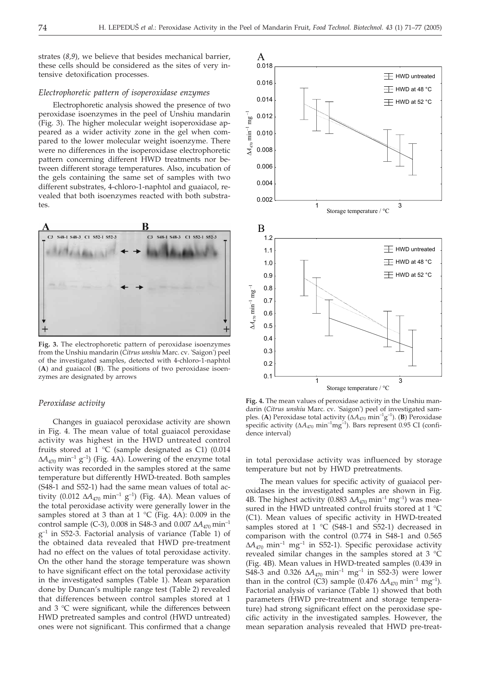strates (*8,9*)*,* we believe that besides mechanical barrier, these cells should be considered as the sites of very intensive detoxification processes.

#### *Electrophoretic pattern of isoperoxidase enzymes*

Electrophoretic analysis showed the presence of two peroxidase isoenzymes in the peel of Unshiu mandarin (Fig. 3). The higher molecular weight isoperoxidase appeared as a wider activity zone in the gel when compared to the lower molecular weight isoenzyme. There were no differences in the isoperoxidase electrophoretic pattern concerning different HWD treatments nor between different storage temperatures. Also, incubation of the gels containing the same set of samples with two different substrates, 4-chloro-1-naphtol and guaiacol, revealed that both isoenzymes reacted with both substrates.



**Fig. 3.** The electrophoretic pattern of peroxidase isoenzymes from the Unshiu mandarin (*Citrus unshiu* Marc. cv. 'Saigon') peel of the investigated samples, detected with 4-chloro-1-naphtol (**A**) and guaiacol (**B**). The positions of two peroxidase isoen-

#### *Peroxidase activity*

Changes in guaiacol peroxidase activity are shown in Fig. 4. The mean value of total guaiacol peroxidase activity was highest in the HWD untreated control fruits stored at  $1 \text{ }^{\circ}$ C (sample designated as C1) (0.014  $\Delta\!A_{470}\,\rm{min^{-1}}\;g^{-1})$  (Fig. 4A). Lowering of the enzyme total activity was recorded in the samples stored at the same temperature but differently HWD-treated. Both samples (S48-1 and S52-1) had the same mean values of total activity (0.012  $\Delta A_{470}$  min<sup>-1</sup> g<sup>-1</sup>) (Fig. 4A). Mean values of the total peroxidase activity were generally lower in the samples stored at 3 than at 1 °C (Fig. 4A): 0.009 in the control sample (C-3), 0.008 in S48-3 and 0.007  $\Delta A_{470}$  min<sup>-1</sup>  $g^{-1}$  in S52-3. Factorial analysis of variance (Table 1) of the obtained data revealed that HWD pre-treatment had no effect on the values of total peroxidase activity. On the other hand the storage temperature was shown to have significant effect on the total peroxidase activity in the investigated samples (Table 1). Mean separation done by Duncan's multiple range test (Table 2) revealed that differences between control samples stored at 1 and 3 °C were significant, while the differences between HWD pretreated samples and control (HWD untreated) ones were not significant. This confirmed that a change



**Fig. 4.** The mean values of peroxidase activity in the Unshiu mandarin (*Citrus unshiu* Marc. cv. 'Saigon') peel of investigated samples. (**A**) Peroxidase total activity ( $\Delta A_{470}$   $\text{min}^{-1}\text{g}^{-1}$ ). (**B**) Peroxidase specific activity ( $\Delta A_{470}$  min<sup>-1</sup>mg<sup>-1</sup>). Bars represent 0.95 CI (confidence interval)

in total peroxidase activity was influenced by storage temperature but not by HWD pretreatments.

The mean values for specific activity of guaiacol peroxidases in the investigated samples are shown in Fig. 4B. The highest activity (0.883  $\Delta A_{470}$  min<sup>-1</sup> mg<sup>-1</sup>) was measured in the HWD untreated control fruits stored at 1 °C (C1). Mean values of specific activity in HWD-treated samples stored at 1 °C (S48-1 and S52-1) decreased in comparison with the control (0.774 in S48-1 and 0.565  $\Delta A_{470}$  min<sup>-1</sup> mg<sup>-1</sup> in S52-1). Specific peroxidase activity revealed similar changes in the samples stored at 3 °C (Fig. 4B). Mean values in HWD-treated samples (0.439 in S48-3 and 0.326  $\Delta A_{470}$  min<sup>-1</sup> mg<sup>-1</sup> in S52-3) were lower than in the control (C3) sample (0.476  $\Delta A_{470}$  min<sup>-1</sup> mg<sup>-1</sup>). Factorial analysis of variance (Table 1) showed that both parameters (HWD pre-treatment and storage temperature) had strong significant effect on the peroxidase specific activity in the investigated samples. However, the mean separation analysis revealed that HWD pre-treat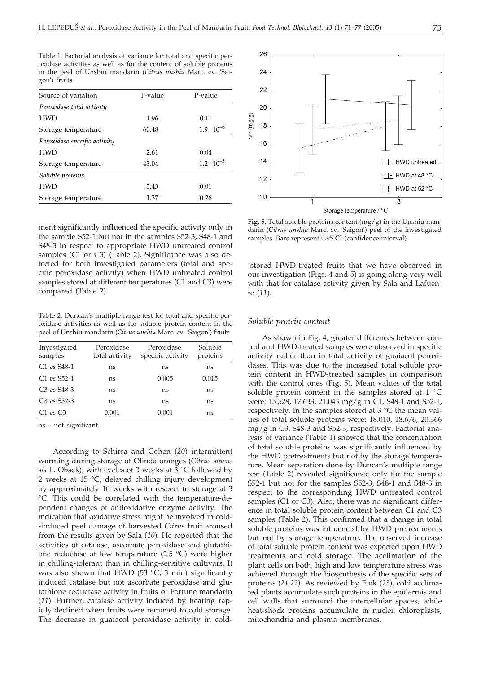Table 1. Factorial analysis of variance for total and specific peroxidase activities as well as for the content of soluble proteins in the peel of Unshiu mandarin (*Citrus unshiu* Marc. cv. 'Saigon') fruits

| Source of variation          | F-value | P-value             | $\mathcal{L}\mathcal{L}$     |                  |
|------------------------------|---------|---------------------|------------------------------|------------------|
| Peroxidase total activity    |         |                     | 20                           |                  |
| <b>HWD</b>                   | 1.96    | 0.11                | $\left(\mathrm{mg/g}\right)$ | and on the first |
| Storage temperature          | 60.48   | $1.9 \cdot 10^{-6}$ | 18                           |                  |
| Peroxidase specific activity |         |                     | $\frac{1}{\alpha}$<br>16     |                  |
| <b>HWD</b>                   | 2.61    | 0.04                |                              |                  |
| Storage temperature          | 43.04   | $1.2 \cdot 10^{-5}$ | 14                           | <u>ਜਾ</u> ਮਾ     |
| Soluble proteins             |         |                     | 12                           | ਾਜ਼ਾ ਮਾ          |
| <b>HWD</b>                   | 3.43    | 0.01                |                              | 王                |
| Storage temperature          | 1.37    | 0.26                | 10                           | 3                |

ment significantly influenced the specific activity only in the sample S52-1 but not in the samples S52-3, S48-1 and S48-3 in respect to appropriate HWD untreated control samples (C1 or C3) (Table 2). Significance was also detected for both investigated parameters (total and specific peroxidase activity) when HWD untreated control samples stored at different temperatures (C1 and C3) were compared (Table 2).

Table 2. Duncan's multiple range test for total and specific peroxidase activities as well as for soluble protein content in the peel of Unshiu mandarin (*Citrus unshiu* Marc. cv. 'Saigon') fruits

| Investigated<br>samples | Peroxidase<br>total activity | Peroxidase<br>specific activity | Soluble<br>proteins |
|-------------------------|------------------------------|---------------------------------|---------------------|
| $C1 vs S48-1$           | ns                           | ns                              | ns                  |
| $C1 vs S52-1$           | ns                           | 0.005                           | 0.015               |
| $C3 vs S48-3$           | ns                           | ns                              | ns                  |
| $C3 vs S52-3$           | ns                           | ns                              | ns                  |
| C1 vs C3                | 0.001                        | 0.001                           | ns                  |

ns – not significant

According to Schirra and Cohen (*20*) intermittent warming during storage of Olinda oranges (*Citrus sinensis* L. Obsek), with cycles of 3 weeks at 3 °C followed by 2 weeks at 15 °C, delayed chilling injury development by approximately 10 weeks with respect to storage at 3 °C. This could be correlated with the temperature-dependent changes of antioxidative enzyme activity. The indication that oxidative stress might be involved in cold- -induced peel damage of harvested *Citrus* fruit aroused from the results given by Sala (*10*). He reported that the activities of catalase, ascorbate peroxidase and glutathione reductase at low temperature (2.5 °C) were higher in chilling-tolerant than in chilling-sensitive cultivars. It was also shown that HWD (53  $°C$ , 3 min) significantly induced catalase but not ascorbate peroxidase and glutathione reductase activity in fruits of Fortune mandarin (*11*). Further, catalase activity induced by heating rapidly declined when fruits were removed to cold storage. The decrease in guaiacol peroxidase activity in cold-



**Fig. 5.** Total soluble proteins content (mg/g) in the Unshiu mandarin (*Citrus unshiu* Marc. cv. 'Saigon') peel of the investigated samples. Bars represent 0.95 CI (confidence interval)

-stored HWD-treated fruits that we have observed in our investigation (Figs. 4 and 5) is going along very well with that for catalase activity given by Sala and Lafuente (*11*).

### *Soluble protein content*

As shown in Fig. 4, greater differences between control and HWD-treated samples were observed in specific activity rather than in total activity of guaiacol peroxidases. This was due to the increased total soluble protein content in HWD-treated samples in comparison with the control ones (Fig. 5). Mean values of the total soluble protein content in the samples stored at  $1 \text{ }^{\circ}\text{C}$ were: 15.528, 17.633, 21.043 mg/g in C1, S48-1 and S52-1, respectively. In the samples stored at 3 °C the mean values of total soluble proteins were: 18.010, 18.676, 20.366 mg/g in C3, S48-3 and S52-3, respectively. Factorial analysis of variance (Table 1) showed that the concentration of total soluble proteins was significantly influenced by the HWD pretreatments but not by the storage temperature. Mean separation done by Duncan's multiple range test (Table 2) revealed significance only for the sample S52-1 but not for the samples S52-3, S48-1 and S48-3 in respect to the corresponding HWD untreated control samples (C1 or C3). Also, there was no significant difference in total soluble protein content between C1 and C3 samples (Table 2). This confirmed that a change in total soluble proteins was influenced by HWD pretreatments but not by storage temperature. The observed increase of total soluble protein content was expected upon HWD treatments and cold storage. The acclimation of the plant cells on both, high and low temperature stress was achieved through the biosynthesis of the specific sets of proteins (*21,22*). As reviewed by Fink (*23*), cold acclimated plants accumulate such proteins in the epidermis and cell walls that surround the intercellular spaces, while heat-shock proteins accumulate in nuclei, chloroplasts, mitochondria and plasma membranes.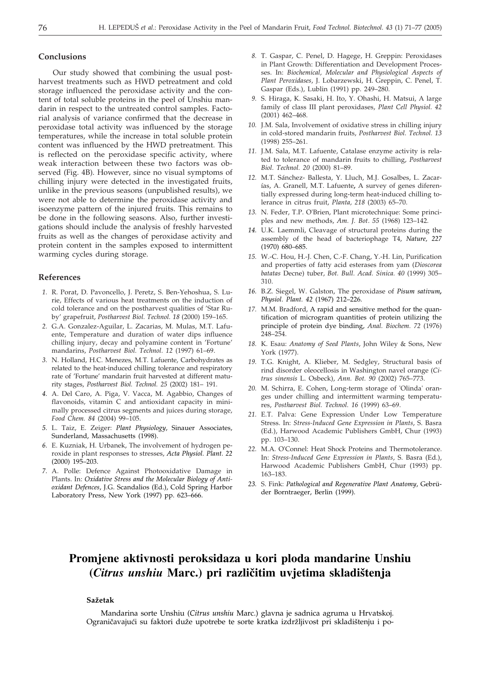## **Conclusions**

Our study showed that combining the usual postharvest treatments such as HWD petreatment and cold storage influenced the peroxidase activity and the content of total soluble proteins in the peel of Unshiu mandarin in respect to the untreated control samples. Factorial analysis of variance confirmed that the decrease in peroxidase total activity was influenced by the storage temperatures, while the increase in total soluble protein content was influenced by the HWD pretreatment. This is reflected on the peroxidase specific activity, where weak interaction between these two factors was observed (Fig. 4B). However, since no visual symptoms of chilling injury were detected in the investigated fruits, unlike in the previous seasons (unpublished results), we were not able to determine the peroxidase activity and isoenzyme pattern of the injured fruits. This remains to be done in the following seasons. Also, further investigations should include the analysis of freshly harvested fruits as well as the changes of peroxidase activity and protein content in the samples exposed to intermittent warming cycles during storage.

## **References**

- *1.* R. Porat, D. Pavoncello, J. Peretz, S. Ben-Yehoshua, S. Lurie, Effects of various heat treatments on the induction of cold tolerance and on the postharvest qualities of 'Star Ruby' grapefruit, *Postharvest Biol. Technol. 18* (2000) 159–165.
- *2.* G.A. Gonzalez-Aguilar, L. Zacarias, M. Mulas, M.T. Lafuente, Temperature and duration of water dips influence chilling injury, decay and polyamine content in 'Fortune' mandarins, *Postharvest Biol. Technol. 12* (1997) 61–69.
- *3.* N. Holland, H.C. Menezes, M.T. Lafuente, Carbohydrates as related to the heat-induced chilling tolerance and respiratory rate of 'Fortune' mandarin fruit harvested at different maturity stages, *Postharvest Biol. Technol. 25* (2002) 181– 191.
- *4.* A. Del Caro, A. Piga, V. Vacca, M. Agabbio, Changes of flavonoids, vitamin C and antioxidant capacity in minimally processed citrus segments and juices during storage, *Food Chem. 84* (2004) 99–105.
- *5.* L. Taiz, E. Zeiger: *Plant Physiology*, Sinauer Associates, Sunderland, Massachusetts (1998).
- *6.* E. Kuzniak, H. Urbanek, The involvement of hydrogen peroxide in plant responses to stresses, *Acta Physiol. Plant. 22* (2000) 195–203.
- *7.* A. Polle: Defence Against Photooxidative Damage in Plants. In: *Oxidative Stress and the Molecular Biology of Antioxidant Defences*, J.G. Scandalios (Ed.), Cold Spring Harbor Laboratory Press, New York (1997) pp. 623–666.
- *8.* T. Gaspar, C. Penel, D. Hagege, H. Greppin: Peroxidases in Plant Growth: Differentiation and Development Processes. In: *Biochemical, Molecular and Physiological Aspects of Plant Peroxidases*, J. Lobarzewski, H. Greppin, C. Penel, T. Gaspar (Eds.), Lublin (1991) pp. 249–280.
- *9.* S. Hiraga, K. Sasaki, H. Ito, Y. Ohashi, H. Matsui, A large family of class III plant peroxidases, *Plant Cell Physiol. 42* (2001) 462–468.
- *10.* J.M. Sala, Involvement of oxidative stress in chilling injury in cold-stored mandarin fruits, *Postharvest Biol. Technol. 13* (1998) 255–261.
- *11.* J.M. Sala, M.T. Lafuente, Catalase enzyme activity is related to tolerance of mandarin fruits to chilling, *Postharvest Biol. Technol. 20* (2000) 81–89.
- *12.* M.T. Sánchez- Ballesta, Y. Lluch, M.J. Gosalbes, L. Zacarías, A. Granell, M.T. Lafuente**,** A survey of genes diferentially expressed during long-term heat-induced chilling tolerance in citrus fruit, *Planta, 218* (2003) 65–70.
- *13.* N. Feder, T.P. O'Brien, Plant microtechnique: Some principles and new methods, *Am. J. Bot*. *55* (1968) 123–142.
- *14.* U.K. Laemmli, Cleavage of structural proteins during the assembly of the head of bacteriophage T4, *Nature, 227* (1970) 680–685.
- *15.* W.-C. Hou, H.-J. Chen, C.-F. Chang, Y.-H. Lin, Purification and properties of fatty acid esterases from yam (*Dioscorea batatas* Decne) tuber, *Bot. Bull. Acad. Sinica. 40* (1999) 305– 310.
- *16.* B.Z. Siegel, W. Galston, The peroxidase of *Pisum sativum, Physiol. Plant. 42* (1967) 212–226.
- *17.* M.M. Bradford, A rapid and sensitive method for the quantification of microgram quantities of protein utilizing the principle of protein dye binding, *Anal. Biochem. 72* (1976) 248–254.
- *18.* K. Esau: *Anatomy of Seed Plants*, John Wiley & Sons, New York (1977).
- *19.* T.G. Knight, A. Klieber, M. Sedgley, Structural basis of rind disorder oleocellosis in Washington navel orange (*Citrus sinensis* L. Osbeck), *Ann. Bot. 90* (2002) 765–773.
- *20.* M. Schirra, E. Cohen, Long-term storage of 'Olinda' oranges under chilling and intermittent warming temperatures, *Postharvest Biol. Technol. 16* (1999) 63–69.
- *21.* E.T. Palva: Gene Expression Under Low Temperature Stress. In: *Stress-Induced Gene Expression in Plants*, S. Basra (Ed.), Harwood Academic Publishers GmbH, Chur (1993) pp. 103–130.
- *22.* M.A. O'Connel: Heat Shock Proteins and Thermotolerance. In: *Stress-Induced Gene Expression in Plants*, S. Basra (Ed.), Harwood Academic Publishers GmbH, Chur (1993) pp. 163–183.
- *23.* S. Fink: *Pathological and Regenerative Plant Anatomy*, Gebrüder Borntraeger, Berlin (1999).

## **Promjene aktivnosti peroksidaza u kori ploda mandarine Unshiu (***Citrus unshiu* **Marc.) pri razli~itim uvjetima skladi{tenja**

## **Sa`etak**

Mandarina sorte Unshiu (*Citrus unshiu* Marc.) glavna je sadnica agruma u Hrvatskoj. Ograničavajući su faktori duže upotrebe te sorte kratka izdržljivost pri skladištenju i po